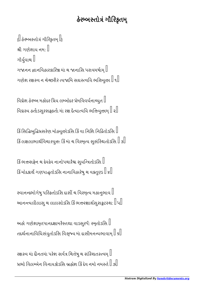## હેરમ્બસ્તોત્રં ગૌરિકૃતમ્

 $\left\{ \left\Vert \right. \right\}$ હેરમ્બસ્તોત્રં ગૌરિકૃતમ્ $\left. \left\Vert \right. \right\}$ શ્રી ગણેશાય નમ $:\mathbb{I}$ ગૌયુવાચ ગજાનન જ્ઞાનવિહારકારિન્ન માં ચ જાનાસિ પરાવમર્ષામ્ $\mathbin\Vert$ ગણેશ રક્ષસ્વ ન ચેચ્છરીરં ત્યજામિ સઘસ્ત્વયિ ભત્તિયુત્તના $\parallel$ ૧ $\parallel$ 

વિઘ્નેશ હેરમ્બ મહોદર પ્રિય લમ્બોદર પ્રેમવિવર્ધનાય્યુત  $\mathbin\Vert$ વિઘ્રસ્ય હર્તાડસુરસફ્રહર્તા માં રક્ષ દૈત્યાત્વયિ ભત્તિયુત્તનમ્ $\parallel$  ર $\parallel$ 

કિં સિદ્ધિબુદ્ધિપ્રસરેણ મોહ્યુત્ત્ગેડસિ કિં વા નિશિ નિદ્રિતોડસિ $\parallel$ કિં લક્ષલાભાર્થવિચારયુત્તઃ કિં માં ચ વિસ્મૃત્ય સુસંસ્થિતોડસિ  $\mathbb I$  ૩ $\mathbb I$ 

કિં ભત્તત્સિક્ષેન ચ દેવદેવ નાનોપચારૈશ્ચ સુયન્ત્રિતોડસિ $\parallel$ કિં મોદકાર્થે ગણપાદ્ધતોડસિ નાનાવિહારેષુ ચ વક્રતુણ્ડ  $\mathbb I$  ૪ $\mathbb I$ 

રવાનન્દભોગેષુ પરિહતોડસિ દાસી ચ વિસ્મૃત્ય મહાનુભાવ  $\mathbin\Vert$ આનન્ત્યલીલાસુ ચ લાલસોડસિ કિં ભત્તન્સાર્થસુસફ્રટસ્થ:  $\mathbb{I}$ પ $\mathbb{I}$ 

અહો ગણેશામૃતપાનદક્ષામરૈસ્તથા વાડસુરપૈઃ સ્મૃતોડસિ $\mathbin\Vert$ તદર્થનાનાવિધિસંયુતોડસિ વિસૃષ્ય માં દાસીમનન્યભાવામ $\mathbin{\mathbb I}$  ક $\mathbin{\mathbb I}$ 

રક્ષસ્વ માં દીનતમાં પરેશ સર્વત્ર ચિત્તેષુ ચ સંસ્થિતસ્ત્વમ્ $\mathbin\Vert$ પ્રભો વિલમ્બેન વિનાયકોડસિ બ્રહ્મેશ કિંદેવ નમો નમસ્તે  $\parallel$  ગી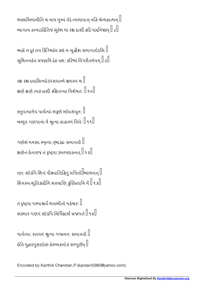ભત્તાભિમાનીતિ ચ નામ મુખ્યં વેદે ત્વભાવાન્ નહિ ચેન્મહાત્મન્ $\parallel$ આગત્ય હત્વાડદિતિજં સુરેશ માં રક્ષ દાસી હદિ પાદનિષ્ઠામ્ $\parallel \! \! \! \perp \! \! \! \! \! \perp$ 

અહો ન દૂરં તવ કિઝ્ચિદેવ કથં ન બુદ્ધીશ સમાગતોડસિ $\mathbin\Vert$ સુચિન્ત્યદેવ પ્રજહામિ દેહં યશ: કરિષ્યે વિપરીતમેવમ્ $\mathbb I$  ૯ $\mathbb I$ 

રક્ષ રક્ષ દયાસિન્ધોડપરાધાન્મે ક્ષમસ્વ ચ $\mathbb I$ ક્ષણે ક્ષણે ત્વહં દાસી રક્ષિતવ્યા વિશેષત:  $\parallel$  ૧૦ $\parallel$ 

રતુવત્યામેવ પાર્વત્યાં શક્રુરો બોધસંયુત:  $\mathbin\Vert$ બભૂવ ગણપાનાં વૈ શ્રત્વા હાહારવં વિધે:  $\parallel$  ૧૧ $\parallel$ 

ગણેશં મનસા સ્મૃત્વા વૃષારૂઢ: સમાયયૌ $\mathbin\Vert$ ક્ષણેન દૈત્યરાજં તં દૃષ્ટ્વા ડમરુણાહનત્  $\parallel$ ૧૨ $\parallel$ 

તત: સોડપિ શિવં વીક્ષ્યાલિક્ષિતું ધવિતો $\mathbb I$ આભવત્ $\mathbb I$ શિવસ્ય શૂલિકાદીનિ શસ્ત્રાણિ કુણ્ઠિતાનિ વૈ $\mathbin{\mathbb{I}}$ ૧૩ $\mathbin{\mathbb{I}}$ 

તં દૃષ્ટ્વા પરમાશ્ચર્ય ભયભીતો મહેશ્વર:  $\mathbin\Vert$ સસ્માર ગણપં સોડપિ નિર્વિઘ્રાર્થ પ્રજાપતે  $\mathbin{\|}$ ૧૪ $\mathbin{\|}$ 

પાર્વત્યાઃ સ્તવનં શ્રુત્વા ગજાનનઃ સમાયયૌ $\,mathbb{l}$ ઇતિ મુદ્રલપુરાણોત્તં હેરમ્બસ્તોત્રં સમ્પૂર્ણમ્ $\mathbin\Vert$ 

Encoded by Karthik Chandan.P (kardan5380@yahoo.com)